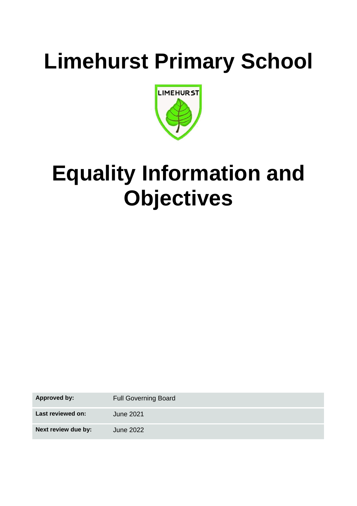# **Limehurst Primary School**



# **Equality Information and Objectives**

**Approved by:** Full Governing Board **Last reviewed on:** June 2021 **Next review due by:** June 2022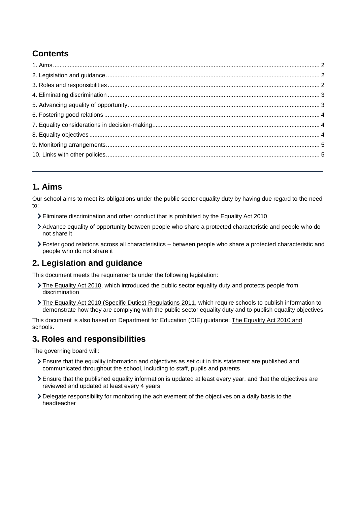# **Contents**

## <span id="page-1-0"></span>**1. Aims**

Our school aims to meet its obligations under the public sector equality duty by having due regard to the need to:

- Eliminate discrimination and other conduct that is prohibited by the Equality Act 2010
- Advance equality of opportunity between people who share a protected characteristic and people who do not share it
- Foster good relations across all characteristics between people who share a protected characteristic and people who do not share it

## <span id="page-1-1"></span>**2. Legislation and guidance**

This document meets the requirements under the following legislation:

- [The Equality Act 2010,](http://www.legislation.gov.uk/ukpga/2010/15/contents) which introduced the public sector equality duty and protects people from discrimination
- > [The Equality Act 2010 \(Specific Duties\) Regulations 2011,](http://www.legislation.gov.uk/uksi/2011/2260/contents/made) which require schools to publish information to demonstrate how they are complying with the public sector equality duty and to publish equality objectives

This document is also based on Department for Education (DfE) guidance: [The Equality Act 2010 and](https://www.gov.uk/government/publications/equality-act-2010-advice-for-schools)  [schools.](https://www.gov.uk/government/publications/equality-act-2010-advice-for-schools) 

#### <span id="page-1-2"></span>**3. Roles and responsibilities**

The governing board will:

- Ensure that the equality information and objectives as set out in this statement are published and communicated throughout the school, including to staff, pupils and parents
- Ensure that the published equality information is updated at least every year, and that the objectives are reviewed and updated at least every 4 years
- Delegate responsibility for monitoring the achievement of the objectives on a daily basis to the headteacher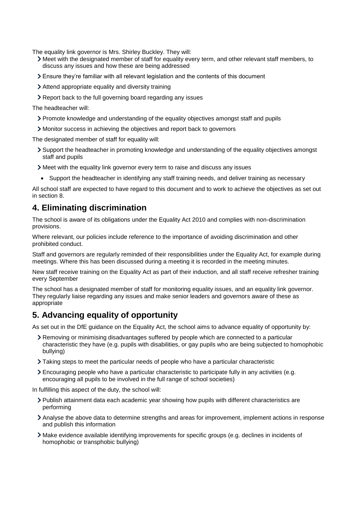The equality link governor is Mrs. Shirley Buckley. They will:

- Meet with the designated member of staff for equality every term, and other relevant staff members, to discuss any issues and how these are being addressed
- Ensure they're familiar with all relevant legislation and the contents of this document
- Attend appropriate equality and diversity training
- Report back to the full governing board regarding any issues

The headteacher will:

- Promote knowledge and understanding of the equality objectives amongst staff and pupils
- Monitor success in achieving the objectives and report back to governors

The designated member of staff for equality will:

- Support the headteacher in promoting knowledge and understanding of the equality objectives amongst staff and pupils
- Meet with the equality link governor every term to raise and discuss any issues
- Support the headteacher in identifying any staff training needs, and deliver training as necessary

All school staff are expected to have regard to this document and to work to achieve the objectives as set out in section 8.

#### <span id="page-2-0"></span>**4. Eliminating discrimination**

The school is aware of its obligations under the Equality Act 2010 and complies with non-discrimination provisions.

Where relevant, our policies include reference to the importance of avoiding discrimination and other prohibited conduct.

Staff and governors are regularly reminded of their responsibilities under the Equality Act, for example during meetings. Where this has been discussed during a meeting it is recorded in the meeting minutes.

New staff receive training on the Equality Act as part of their induction, and all staff receive refresher training every September

The school has a designated member of staff for monitoring equality issues, and an equality link governor. They regularly liaise regarding any issues and make senior leaders and governors aware of these as appropriate

## <span id="page-2-1"></span>**5. Advancing equality of opportunity**

As set out in the DfE guidance on the Equality Act, the school aims to advance equality of opportunity by:

- Removing or minimising disadvantages suffered by people which are connected to a particular characteristic they have (e.g. pupils with disabilities, or gay pupils who are being subjected to homophobic bullying)
- Taking steps to meet the particular needs of people who have a particular characteristic
- Encouraging people who have a particular characteristic to participate fully in any activities (e.g. encouraging all pupils to be involved in the full range of school societies)

In fulfilling this aspect of the duty, the school will:

- Publish attainment data each academic year showing how pupils with different characteristics are performing
- Analyse the above data to determine strengths and areas for improvement, implement actions in response and publish this information
- Make evidence available identifying improvements for specific groups (e.g. declines in incidents of homophobic or transphobic bullying)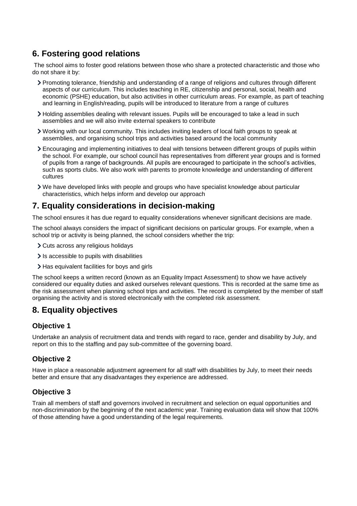# <span id="page-3-0"></span>**6. Fostering good relations**

The school aims to foster good relations between those who share a protected characteristic and those who do not share it by:

- Promoting tolerance, friendship and understanding of a range of religions and cultures through different aspects of our curriculum. This includes teaching in RE, citizenship and personal, social, health and economic (PSHE) education, but also activities in other curriculum areas. For example, as part of teaching and learning in English/reading, pupils will be introduced to literature from a range of cultures
- Holding assemblies dealing with relevant issues. Pupils will be encouraged to take a lead in such assemblies and we will also invite external speakers to contribute
- Working with our local community. This includes inviting leaders of local faith groups to speak at assemblies, and organising school trips and activities based around the local community
- Encouraging and implementing initiatives to deal with tensions between different groups of pupils within the school. For example, our school council has representatives from different year groups and is formed of pupils from a range of backgrounds. All pupils are encouraged to participate in the school's activities, such as sports clubs. We also work with parents to promote knowledge and understanding of different cultures
- We have developed links with people and groups who have specialist knowledge about particular characteristics, which helps inform and develop our approach

## <span id="page-3-1"></span>**7. Equality considerations in decision-making**

The school ensures it has due regard to equality considerations whenever significant decisions are made.

The school always considers the impact of significant decisions on particular groups. For example, when a school trip or activity is being planned, the school considers whether the trip:

- Cuts across any religious holidays
- $\sum$  Is accessible to pupils with disabilities
- > Has equivalent facilities for boys and girls

The school keeps a written record (known as an Equality Impact Assessment) to show we have actively considered our equality duties and asked ourselves relevant questions. This is recorded at the same time as the risk assessment when planning school trips and activities. The record is completed by the member of staff organising the activity and is stored electronically with the completed risk assessment.

# <span id="page-3-2"></span>**8. Equality objectives**

#### **Objective 1**

Undertake an analysis of recruitment data and trends with regard to race, gender and disability by July, and report on this to the staffing and pay sub-committee of the governing board.

#### **Objective 2**

Have in place a reasonable adjustment agreement for all staff with disabilities by July, to meet their needs better and ensure that any disadvantages they experience are addressed.

#### **Objective 3**

Train all members of staff and governors involved in recruitment and selection on equal opportunities and non-discrimination by the beginning of the next academic year. Training evaluation data will show that 100% of those attending have a good understanding of the legal requirements.